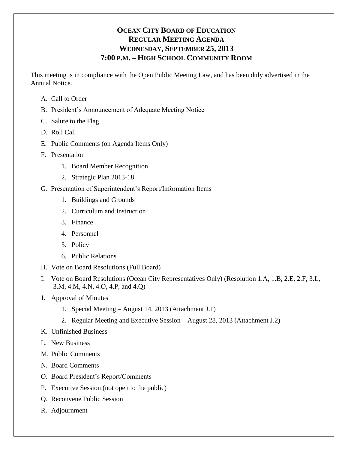# **OCEAN CITY BOARD OF EDUCATION REGULAR MEETING AGENDA WEDNESDAY, SEPTEMBER 25, 2013 7:00 P.M. – HIGH SCHOOL COMMUNITY ROOM**

This meeting is in compliance with the Open Public Meeting Law, and has been duly advertised in the Annual Notice.

- A. Call to Order
- B. President's Announcement of Adequate Meeting Notice
- C. Salute to the Flag
- D. Roll Call
- E. Public Comments (on Agenda Items Only)
- F. Presentation
	- 1. Board Member Recognition
	- 2. Strategic Plan 2013-18
- G. Presentation of Superintendent's Report/Information Items
	- 1. Buildings and Grounds
	- 2. Curriculum and Instruction
	- 3. Finance
	- 4. Personnel
	- 5. Policy
	- 6. Public Relations
- H. Vote on Board Resolutions (Full Board)
- I. Vote on Board Resolutions (Ocean City Representatives Only) (Resolution 1.A, 1.B, 2.E, 2.F, 3.L, 3.M, 4.M, 4.N, 4.O, 4.P, and 4.Q)
- J. Approval of Minutes
	- 1. Special Meeting August 14, 2013 (Attachment J.1)
	- 2. Regular Meeting and Executive Session August 28, 2013 (Attachment J.2)
- K. Unfinished Business
- L. New Business
- M. Public Comments
- N. Board Comments
- O. Board President's Report/Comments
- P. Executive Session (not open to the public)
- Q. Reconvene Public Session
- R. Adjournment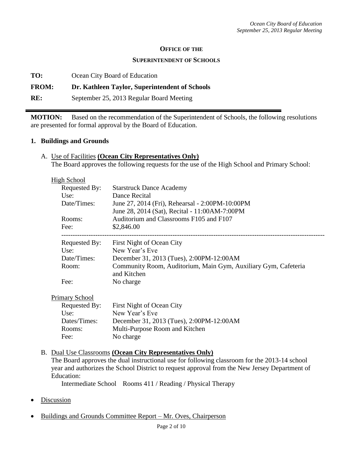#### **OFFICE OF THE**

#### **SUPERINTENDENT OF SCHOOLS**

**TO:** Ocean City Board of Education

### **FROM: Dr. Kathleen Taylor, Superintendent of Schools**

**RE:** September 25, 2013 Regular Board Meeting

**MOTION:** Based on the recommendation of the Superintendent of Schools, the following resolutions are presented for formal approval by the Board of Education.

### **1. Buildings and Grounds**

A. Use of Facilities **(Ocean City Representatives Only)** The Board approves the following requests for the use of the High School and Primary School:

| <b>High School</b> |                                                                |
|--------------------|----------------------------------------------------------------|
| Requested By:      | <b>Starstruck Dance Academy</b>                                |
| Use:               | Dance Recital                                                  |
| Date/Times:        | June 27, 2014 (Fri), Rehearsal - 2:00PM-10:00PM                |
|                    | June 28, 2014 (Sat), Recital - 11:00AM-7:00PM                  |
| Rooms:             | Auditorium and Classrooms F105 and F107                        |
| Fee:               | \$2,846.00                                                     |
| Requested By:      | First Night of Ocean City                                      |
| Use:               | New Year's Eve                                                 |
| Date/Times:        | December 31, 2013 (Tues), 2:00PM-12:00AM                       |
| Room:              | Community Room, Auditorium, Main Gym, Auxiliary Gym, Cafeteria |
|                    | and Kitchen                                                    |
| Fee:               | No charge                                                      |

Primary School

| Requested By: | First Night of Ocean City                |
|---------------|------------------------------------------|
| Use:          | New Year's Eve                           |
| Dates/Times:  | December 31, 2013 (Tues), 2:00PM-12:00AM |
| Rooms:        | Multi-Purpose Room and Kitchen           |
| Fee:          | No charge                                |

### B. Dual Use Classrooms **(Ocean City Representatives Only)**

The Board approves the dual instructional use for following classroom for the 2013-14 school year and authorizes the School District to request approval from the New Jersey Department of Education:

Intermediate School Rooms 411 / Reading / Physical Therapy

- **Discussion**
- Buildings and Grounds Committee Report Mr. Oves, Chairperson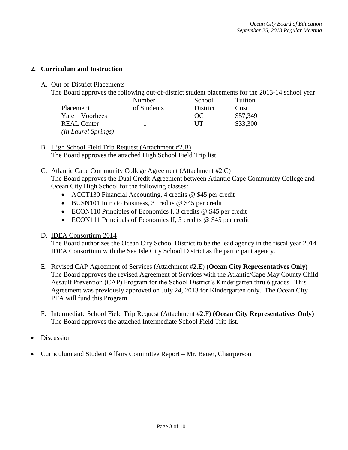### **2. Curriculum and Instruction**

A. Out-of-District Placements

| The Board approves the following out-of-district student placements for the 2013-14 school year: |           |                           |            |  |
|--------------------------------------------------------------------------------------------------|-----------|---------------------------|------------|--|
|                                                                                                  | $N$ umbor | $S_{\alpha}$ <sub>0</sub> | $T$ uition |  |

|                            | Number      | SCNOOL   | 1 untion |
|----------------------------|-------------|----------|----------|
| Placement                  | of Students | District | Cost     |
| $Yale-Voorhees$            |             | OC       | \$57,349 |
| <b>REAL Center</b>         |             | UТ       | \$33,300 |
| <i>(In Laurel Springs)</i> |             |          |          |

B. High School Field Trip Request (Attachment #2.B) The Board approves the attached High School Field Trip list.

## C. Atlantic Cape Community College Agreement (Attachment #2.C)

The Board approves the Dual Credit Agreement between Atlantic Cape Community College and Ocean City High School for the following classes:

- ACCT130 Financial Accounting, 4 credits @ \$45 per credit
- $\bullet$  BUSN101 Intro to Business, 3 credits @ \$45 per credit
- ECON110 Principles of Economics I, 3 credits @ \$45 per credit
- ECON111 Principals of Economics II, 3 credits @ \$45 per credit
- D. IDEA Consortium 2014

The Board authorizes the Ocean City School District to be the lead agency in the fiscal year 2014 IDEA Consortium with the Sea Isle City School District as the participant agency.

- E. Revised CAP Agreement of Services (Attachment #2.E) **(Ocean City Representatives Only)** The Board approves the revised Agreement of Services with the Atlantic/Cape May County Child Assault Prevention (CAP) Program for the School District's Kindergarten thru 6 grades. This Agreement was previously approved on July 24, 2013 for Kindergarten only. The Ocean City PTA will fund this Program.
- F. Intermediate School Field Trip Request (Attachment #2.F) **(Ocean City Representatives Only)** The Board approves the attached Intermediate School Field Trip list.
- Discussion
- Curriculum and Student Affairs Committee Report Mr. Bauer, Chairperson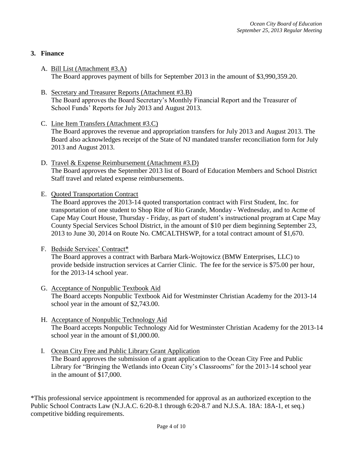### **3. Finance**

- A. Bill List (Attachment #3.A) The Board approves payment of bills for September 2013 in the amount of \$3,990,359.20.
- B. Secretary and Treasurer Reports (Attachment #3.B) The Board approves the Board Secretary's Monthly Financial Report and the Treasurer of School Funds' Reports for July 2013 and August 2013.
- C. Line Item Transfers (Attachment #3.C) The Board approves the revenue and appropriation transfers for July 2013 and August 2013. The Board also acknowledges receipt of the State of NJ mandated transfer reconciliation form for July 2013 and August 2013.
- D. Travel & Expense Reimbursement (Attachment #3.D) The Board approves the September 2013 list of Board of Education Members and School District Staff travel and related expense reimbursements.
- E. Quoted Transportation Contract

The Board approves the 2013-14 quoted transportation contract with First Student, Inc. for transportation of one student to Shop Rite of Rio Grande, Monday - Wednesday, and to Acme of Cape May Court House, Thursday - Friday, as part of student's instructional program at Cape May County Special Services School District, in the amount of \$10 per diem beginning September 23, 2013 to June 30, 2014 on Route No. CMCALTHSWP, for a total contract amount of \$1,670.

F. Bedside Services' Contract\*

The Board approves a contract with Barbara Mark-Wojtowicz (BMW Enterprises, LLC) to provide bedside instruction services at Carrier Clinic. The fee for the service is \$75.00 per hour, for the 2013-14 school year.

- G. Acceptance of Nonpublic Textbook Aid The Board accepts Nonpublic Textbook Aid for Westminster Christian Academy for the 2013-14 school year in the amount of \$2,743.00.
- H. Acceptance of Nonpublic Technology Aid The Board accepts Nonpublic Technology Aid for Westminster Christian Academy for the 2013-14 school year in the amount of \$1,000.00.
- I. Ocean City Free and Public Library Grant Application The Board approves the submission of a grant application to the Ocean City Free and Public Library for "Bringing the Wetlands into Ocean City's Classrooms" for the 2013-14 school year in the amount of \$17,000.

\*This professional service appointment is recommended for approval as an authorized exception to the Public School Contracts Law (N.J.A.C. 6:20-8.1 through 6:20-8.7 and N.J.S.A. 18A: 18A-1, et seq.) competitive bidding requirements.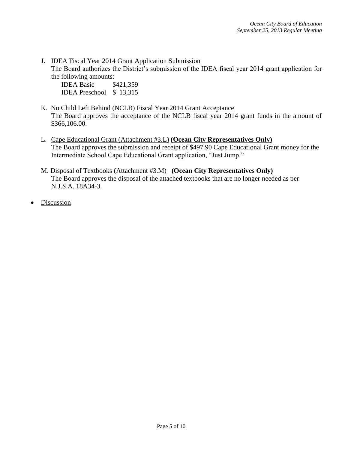J. IDEA Fiscal Year 2014 Grant Application Submission

The Board authorizes the District's submission of the IDEA fiscal year 2014 grant application for the following amounts:

IDEA Basic \$421,359 IDEA Preschool \$ 13,315

- K. No Child Left Behind (NCLB) Fiscal Year 2014 Grant Acceptance The Board approves the acceptance of the NCLB fiscal year 2014 grant funds in the amount of \$366,106.00.
- L. Cape Educational Grant (Attachment #3.L) **(Ocean City Representatives Only)** The Board approves the submission and receipt of \$497.90 Cape Educational Grant money for the Intermediate School Cape Educational Grant application, "Just Jump."
- M. Disposal of Textbooks (Attachment #3.M) **(Ocean City Representatives Only)** The Board approves the disposal of the attached textbooks that are no longer needed as per N.J.S.A. 18A34-3.
- Discussion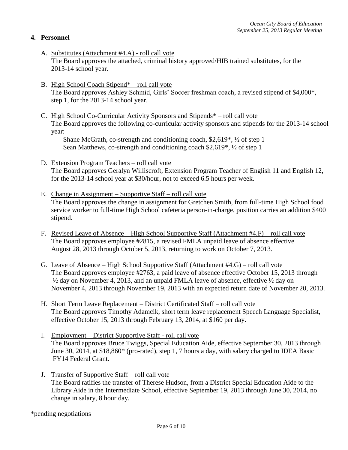### **4. Personnel**

- A. Substitutes (Attachment #4.A) roll call vote The Board approves the attached, criminal history approved/HIB trained substitutes, for the 2013-14 school year.
- B. High School Coach Stipend\* roll call vote The Board approves Ashley Schmid, Girls' Soccer freshman coach, a revised stipend of \$4,000\*, step 1, for the 2013-14 school year.
- C. High School Co-Curricular Activity Sponsors and Stipends\* roll call vote The Board approves the following co-curricular activity sponsors and stipends for the 2013-14 school year:

Shane McGrath, co-strength and conditioning coach, \$2,619\*, ½ of step 1 Sean Matthews, co-strength and conditioning coach \$2,619\*, ½ of step 1

- D. Extension Program Teachers roll call vote The Board approves Geralyn Williscroft, Extension Program Teacher of English 11 and English 12, for the 2013-14 school year at \$30/hour, not to exceed 6.5 hours per week.
- E. Change in Assignment Supportive Staff roll call vote The Board approves the change in assignment for Gretchen Smith, from full-time High School food service worker to full-time High School cafeteria person-in-charge, position carries an addition \$400 stipend.
- F. Revised Leave of Absence High School Supportive Staff (Attachment #4.F) roll call vote The Board approves employee #2815, a revised FMLA unpaid leave of absence effective August 28, 2013 through October 5, 2013, returning to work on October 7, 2013.
- G. Leave of Absence High School Supportive Staff (Attachment #4.G) roll call vote The Board approves employee #2763, a paid leave of absence effective October 15, 2013 through ½ day on November 4, 2013, and an unpaid FMLA leave of absence, effective ½ day on November 4, 2013 through November 19, 2013 with an expected return date of November 20, 2013.
- H. Short Term Leave Replacement District Certificated Staff roll call vote The Board approves Timothy Adamcik, short term leave replacement Speech Language Specialist, effective October 15, 2013 through February 13, 2014, at \$160 per day.
- I. Employment District Supportive Staff roll call vote The Board approves Bruce Twiggs, Special Education Aide, effective September 30, 2013 through June 30, 2014, at \$18,860\* (pro-rated), step 1, 7 hours a day, with salary charged to IDEA Basic FY14 Federal Grant.
- J. Transfer of Supportive Staff roll call vote The Board ratifies the transfer of Therese Hudson, from a District Special Education Aide to the Library Aide in the Intermediate School, effective September 19, 2013 through June 30, 2014, no change in salary, 8 hour day.

\*pending negotiations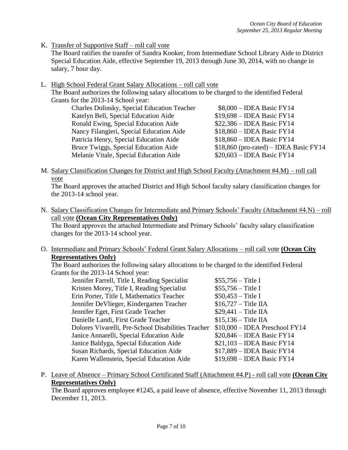K. Transfer of Supportive Staff – roll call vote

The Board ratifies the transfer of Sandra Kooker, from Intermediate School Library Aide to District Special Education Aide, effective September 19, 2013 through June 30, 2014, with no change in salary, 7 hour day.

L. High School Federal Grant Salary Allocations – roll call vote

The Board authorizes the following salary allocations to be charged to the identified Federal Grants for the 2013-14 School year:

| Charles Dolinsky, Special Education Teacher | $$8,000 - IDEA$ Basic FY14              |
|---------------------------------------------|-----------------------------------------|
| Katelyn Bell, Special Education Aide        | $$19,698 - IDEA Basic FY14$             |
| Ronald Ewing, Special Education Aide        | $$22,386 - IDEA Basic FY14$             |
| Nancy Filangieri, Special Education Aide    | $$18,860 - IDEA Basic FY14$             |
| Patricia Henry, Special Education Aide      | $$18,860 - IDEA Basic FY14$             |
| Bruce Twiggs, Special Education Aide        | $$18,860$ (pro-rated) – IDEA Basic FY14 |
| Melanie Vitale, Special Education Aide      | $$20,603 - IDEA Basic FY14$             |
|                                             |                                         |

M. Salary Classification Changes for District and High School Faculty (Attachment #4.M) – roll call vote

The Board approves the attached District and High School faculty salary classification changes for the 2013-14 school year.

N. Salary Classification Changes for Intermediate and Primary Schools' Faculty (Attachment #4.N) – roll call vote **(Ocean City Representatives Only)**

The Board approves the attached Intermediate and Primary Schools' faculty salary classification changes for the 2013-14 school year.

O. Intermediate and Primary Schools' Federal Grant Salary Allocations – roll call vote **(Ocean City Representatives Only)**

The Board authorizes the following salary allocations to be charged to the identified Federal Grants for the 2013-14 School year:

| Jennifer Farrell, Title I, Reading Specialist      | $$55,756 - Title I$             |
|----------------------------------------------------|---------------------------------|
| Kristen Morey, Title I, Reading Specialist         | $$55,756 - Title I$             |
| Erin Porter, Title I, Mathematics Teacher          | $$50,453 - Title I$             |
| Jennifer DeVlieger, Kindergarten Teacher           | $$16,727 - Title$ IIA           |
| Jennifer Eget, First Grade Teacher                 | $$29,441 - Title$ IIA           |
| Danielle Landi, First Grade Teacher                | $$15,136 - Title$ IIA           |
| Dolores Vivarelli, Pre-School Disabilities Teacher | $$10,000 - IDEA$ Preschool FY14 |
| Janice Annarelli, Special Education Aide           | $$20,846 - IDEA Basic FY14$     |
| Janice Baldyga, Special Education Aide             | $$21,103 - IDEA$ Basic FY14     |
| Susan Richards, Special Education Aide             | $$17,889 - IDEA Basic FY14$     |
| Karen Wallenstein, Special Education Aide          | $$19,698 - IDEA Basic FY14$     |
|                                                    |                                 |

P. Leave of Absence – Primary School Certificated Staff (Attachment #4.P) - roll call vote **(Ocean City Representatives Only)**

The Board approves employee #1245, a paid leave of absence, effective November 11, 2013 through December 11, 2013.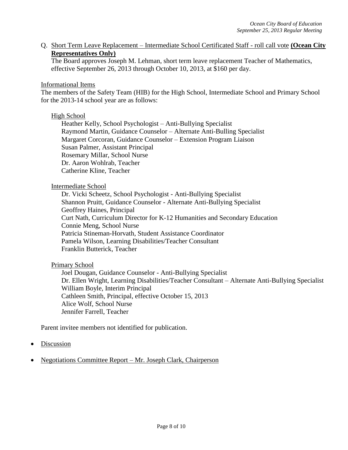Q. Short Term Leave Replacement – Intermediate School Certificated Staff - roll call vote **(Ocean City Representatives Only)**

The Board approves Joseph M. Lehman, short term leave replacement Teacher of Mathematics, effective September 26, 2013 through October 10, 2013, at \$160 per day.

#### Informational Items

The members of the Safety Team (HIB) for the High School, Intermediate School and Primary School for the 2013-14 school year are as follows:

#### High School

Heather Kelly, School Psychologist – Anti-Bullying Specialist Raymond Martin, Guidance Counselor – Alternate Anti-Bulling Specialist Margaret Corcoran, Guidance Counselor – Extension Program Liaison Susan Palmer, Assistant Principal Rosemary Millar, School Nurse Dr. Aaron Wohlrab, Teacher Catherine Kline, Teacher

#### Intermediate School

Dr. Vicki Scheetz, School Psychologist - Anti-Bullying Specialist Shannon Pruitt, Guidance Counselor - Alternate Anti-Bullying Specialist Geoffrey Haines, Principal Curt Nath, Curriculum Director for K-12 Humanities and Secondary Education Connie Meng, School Nurse Patricia Stineman-Horvath, Student Assistance Coordinator Pamela Wilson, Learning Disabilities/Teacher Consultant Franklin Butterick, Teacher

### Primary School

Joel Dougan, Guidance Counselor - Anti-Bullying Specialist Dr. Ellen Wright, Learning Disabilities/Teacher Consultant – Alternate Anti-Bullying Specialist William Boyle, Interim Principal Cathleen Smith, Principal, effective October 15, 2013 Alice Wolf, School Nurse Jennifer Farrell, Teacher

Parent invitee members not identified for publication.

- **Discussion**
- Negotiations Committee Report Mr. Joseph Clark, Chairperson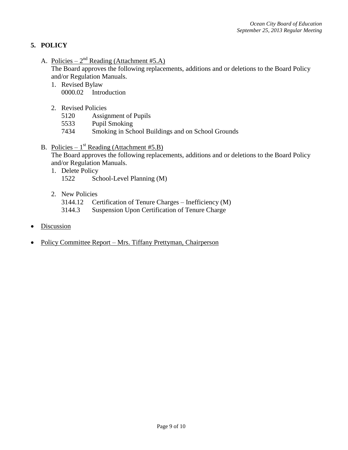## **5. POLICY**

A. Policies –  $2^{nd}$  Reading (Attachment #5.A)

The Board approves the following replacements, additions and or deletions to the Board Policy and/or Regulation Manuals.

- 1. Revised Bylaw 0000.02 Introduction
- 2. Revised Policies
	- 5120 Assignment of Pupils
	- 5533 Pupil Smoking
	- 7434 Smoking in School Buildings and on School Grounds
- B. Policies  $1<sup>st</sup>$  Reading (Attachment #5.B)

The Board approves the following replacements, additions and or deletions to the Board Policy and/or Regulation Manuals.

- 1. Delete Policy 1522 School-Level Planning (M)
- 2. New Policies
	- 3144.12 Certification of Tenure Charges Inefficiency (M)
	- 3144.3 Suspension Upon Certification of Tenure Charge
- **Discussion**
- Policy Committee Report Mrs. Tiffany Prettyman, Chairperson